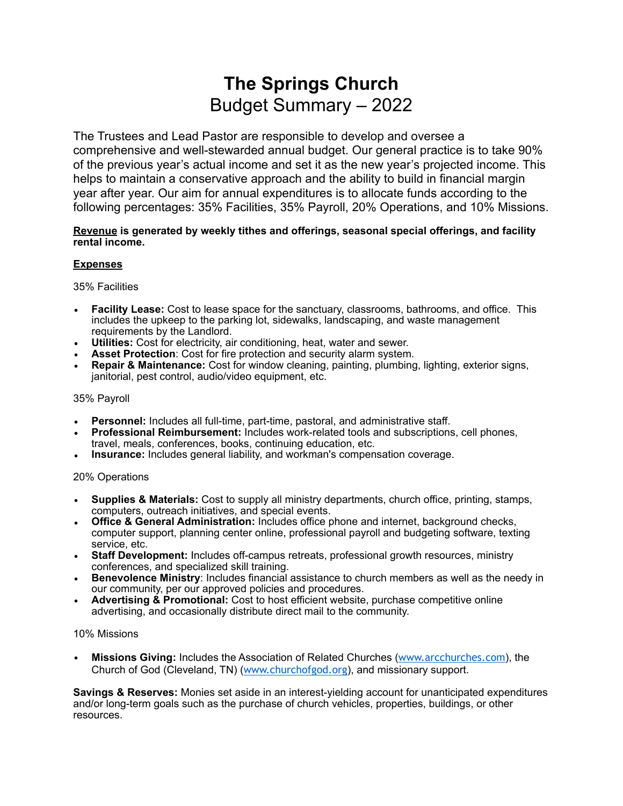## **The Springs Church**  Budget Summary – 2022

The Trustees and Lead Pastor are responsible to develop and oversee a comprehensive and well-stewarded annual budget. Our general practice is to take 90% of the previous year's actual income and set it as the new year's projected income. This helps to maintain a conservative approach and the ability to build in financial margin year after year. Our aim for annual expenditures is to allocate funds according to the following percentages: 35% Facilities, 35% Payroll, 20% Operations, and 10% Missions.

#### **Revenue is generated by weekly tithes and offerings, seasonal special offerings, and facility rental income.**

#### **Expenses**

35% Facilities

- **Facility Lease:** Cost to lease space for the sanctuary, classrooms, bathrooms, and office. This includes the upkeep to the parking lot, sidewalks, landscaping, and waste management requirements by the Landlord.
- **Utilities:** Cost for electricity, air conditioning, heat, water and sewer.
- **Asset Protection**: Cost for fire protection and security alarm system.
- **Repair & Maintenance:** Cost for window cleaning, painting, plumbing, lighting, exterior signs, janitorial, pest control, audio/video equipment, etc.

#### 35% Payroll

- **Personnel:** Includes all full-time, part-time, pastoral, and administrative staff.
- **Professional Reimbursement:** Includes work-related tools and subscriptions, cell phones, travel, meals, conferences, books, continuing education, etc.
- **Insurance:** Includes general liability, and workman's compensation coverage.

#### 20% Operations

- **Supplies & Materials:** Cost to supply all ministry departments, church office, printing, stamps, computers, outreach initiatives, and special events.
- **Office & General Administration:** Includes office phone and internet, background checks, computer support, planning center online, professional payroll and budgeting software, texting service, etc.
- **Staff Development:** Includes off-campus retreats, professional growth resources, ministry conferences, and specialized skill training.
- **Benevolence Ministry**: Includes financial assistance to church members as well as the needy in our community, per our approved policies and procedures.
- **Advertising & Promotional:** Cost to host efficient website, purchase competitive online advertising, and occasionally distribute direct mail to the community.

#### 10% Missions

• **Missions Giving:** Includes the Association of Related Churches ([www.arcchurches.com](http://www.arcchurches.com)), the Church of God (Cleveland, TN) ([www.churchofgod.org](http://www.churchofgod.org)), and missionary support.

**Savings & Reserves:** Monies set aside in an interest-yielding account for unanticipated expenditures and/or long-term goals such as the purchase of church vehicles, properties, buildings, or other resources.